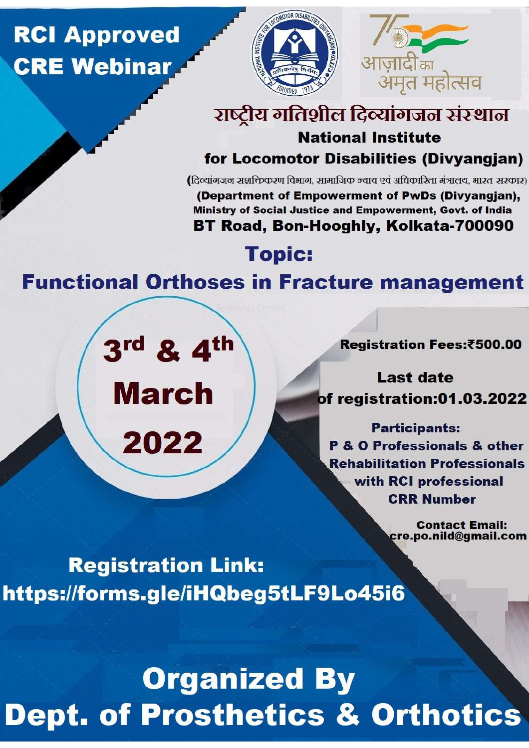## **RCI Approved CRE Webinar**





#### राष्ट्रीय गतिशील दिव्यांगजन संस्थान **National Institute** for Locomotor Disabilities (Divyangjan)

(दिल्यांगजन स्रशक्तिकरण विभाग, सामाजिक न्याय एवं अधिकारिता मंत्रालय, भारत सरकार)

(Department of Empowerment of PwDs (Divyangjan), Ministry of Social Justice and Empowerment, Govt. of India BT Road, Bon-Hooghly, Kolkata-700090

**Topic:** 

### **Functional Orthoses in Fracture management**

3rd & 4th

**March** 

2022

**Registration Fees:₹500.00** 

**Last date** of registration:01.03.2022

**Participants: P & O Professionals & other Rehabilitation Professionals** with RCI professional **CRR Number** 

> **Contact Email:** cre.po.nild@gmail.com

**Registration Link:** https://forms.gle/iHQbeg5tLF9Lo45i6

# **Organized By Dept. of Prosthetics & Orthotics**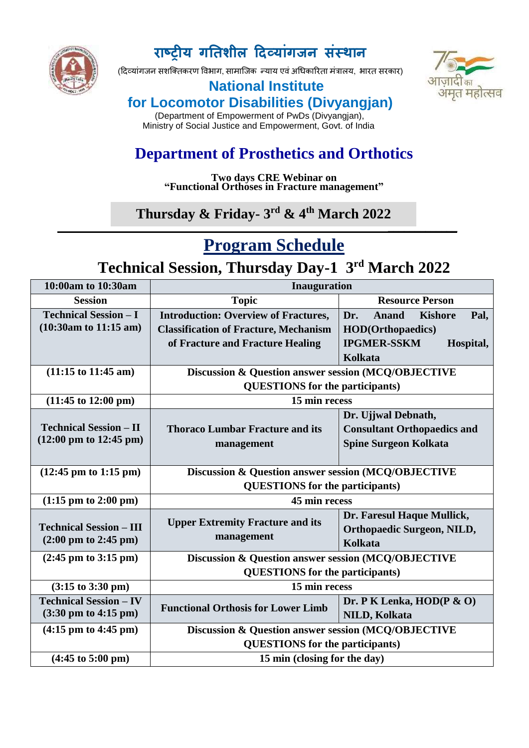

#### **राष्ट्रीय गतिशील दिवयाांगजन सांस्थान**

(दिव्यांगजन सशक्तिकरण विभाग, सामाजिक न्याय एवं अधिकारिता मंत्रालय, भारत सरकार)





 (Department of Empowerment of PwDs (Divyangjan), Ministry of Social Justice and Empowerment, Govt. of India

#### **Department of Prosthetics and Orthotics**

**Two days CRE Webinar on "Functional Orthoses in Fracture management"**

#### **\_\_\_\_\_\_\_\_\_\_\_\_\_ Thursday & Friday- 3 rd & 4 th March 2022**

#### **Program Schedule**

#### **Technical Session, Thursday Day-1 3 rd March 2022**

| 10:00am to 10:30am                        | <b>Inauguration</b>                                            |                                               |
|-------------------------------------------|----------------------------------------------------------------|-----------------------------------------------|
| <b>Session</b>                            | <b>Topic</b>                                                   | <b>Resource Person</b>                        |
| <b>Technical Session - I</b>              | <b>Introduction: Overview of Fractures,</b>                    | Dr.<br><b>Anand</b><br><b>Kishore</b><br>Pal. |
| $(10:30am)$ to 11:15 am)                  | <b>Classification of Fracture, Mechanism</b>                   | <b>HOD(Orthopaedics)</b>                      |
|                                           | of Fracture and Fracture Healing                               | <b>IPGMER-SSKM</b><br>Hospital,               |
|                                           |                                                                | Kolkata                                       |
| $(11:15 \text{ to } 11:45 \text{ am})$    | Discussion & Question answer session (MCQ/OBJECTIVE            |                                               |
|                                           | <b>QUESTIONS</b> for the participants)                         |                                               |
| $(11:45 \text{ to } 12:00 \text{ pm})$    | 15 min recess                                                  |                                               |
|                                           |                                                                | Dr. Ujjwal Debnath,                           |
| <b>Technical Session - II</b>             | <b>Thoraco Lumbar Fracture and its</b>                         | <b>Consultant Orthopaedics and</b>            |
| $(12:00 \text{ pm to } 12:45 \text{ pm})$ | management                                                     | <b>Spine Surgeon Kolkata</b>                  |
|                                           |                                                                |                                               |
| $(12:45 \text{ pm to } 1:15 \text{ pm})$  | <b>Discussion &amp; Question answer session (MCQ/OBJECTIVE</b> |                                               |
|                                           | <b>QUESTIONS</b> for the participants)                         |                                               |
| $(1:15 \text{ pm to } 2:00 \text{ pm})$   | 45 min recess                                                  |                                               |
|                                           | <b>Upper Extremity Fracture and its</b>                        | Dr. Faresul Haque Mullick,                    |
| <b>Technical Session - III</b>            | management                                                     | <b>Orthopaedic Surgeon, NILD,</b>             |
| $(2:00 \text{ pm to } 2:45 \text{ pm})$   |                                                                | <b>Kolkata</b>                                |
| $(2:45 \text{ pm to } 3:15 \text{ pm})$   | Discussion & Question answer session (MCQ/OBJECTIVE            |                                               |
|                                           | <b>QUESTIONS</b> for the participants)                         |                                               |
| $(3:15 \text{ to } 3:30 \text{ pm})$      | 15 min recess                                                  |                                               |
| <b>Technical Session - IV</b>             | <b>Functional Orthosis for Lower Limb</b>                      | Dr. P K Lenka, $HOD(P \& O)$                  |
| $(3:30 \text{ pm to } 4:15 \text{ pm})$   |                                                                | <b>NILD, Kolkata</b>                          |
| $(4:15 \text{ pm to } 4:45 \text{ pm})$   | Discussion & Question answer session (MCQ/OBJECTIVE            |                                               |
|                                           | <b>QUESTIONS</b> for the participants)                         |                                               |
| $(4:45 \text{ to } 5:00 \text{ pm})$      | 15 min (closing for the day)                                   |                                               |